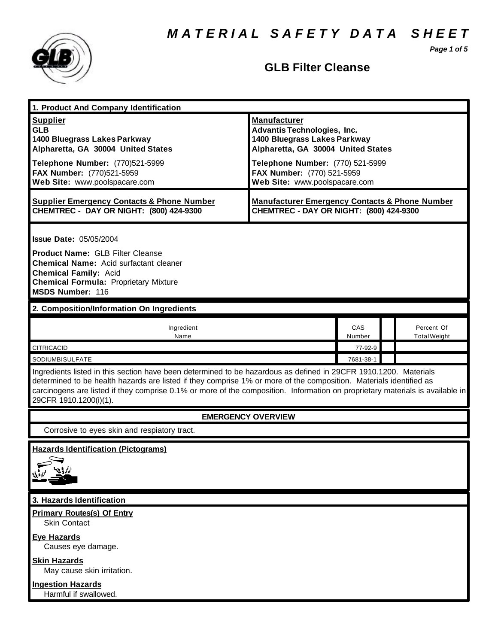*M A T E R I A L S A F E T Y D A T A S H E E T*

*Page 1 of 5*



## **GLB Filter Cleanse**

| 1. Product And Company Identification                                                                                                                                                                                                                                                                                                                                                             |                                                                                                                                                                                                                                    |                                   |
|---------------------------------------------------------------------------------------------------------------------------------------------------------------------------------------------------------------------------------------------------------------------------------------------------------------------------------------------------------------------------------------------------|------------------------------------------------------------------------------------------------------------------------------------------------------------------------------------------------------------------------------------|-----------------------------------|
| <b>Supplier</b><br><b>GLB</b><br>1400 Bluegrass Lakes Parkway<br>Alpharetta, GA 30004 United States<br>Telephone Number: (770)521-5999<br>FAX Number: (770)521-5959<br>Web Site: www.poolspacare.com                                                                                                                                                                                              | <b>Manufacturer</b><br><b>Advantis Technologies, Inc.</b><br>1400 Bluegrass Lakes Parkway<br>Alpharetta, GA 30004 United States<br>Telephone Number: (770) 521-5999<br>FAX Number: (770) 521-5959<br>Web Site: www.poolspacare.com |                                   |
| <b>Supplier Emergency Contacts &amp; Phone Number</b><br>CHEMTREC - DAY OR NIGHT: (800) 424-9300                                                                                                                                                                                                                                                                                                  | <b>Manufacturer Emergency Contacts &amp; Phone Number</b><br>CHEMTREC - DAY OR NIGHT: (800) 424-9300                                                                                                                               |                                   |
| <b>Issue Date: 05/05/2004</b><br><b>Product Name: GLB Filter Cleanse</b><br><b>Chemical Name:</b> Acid surfactant cleaner<br><b>Chemical Family: Acid</b><br><b>Chemical Formula: Proprietary Mixture</b><br><b>MSDS Number: 116</b>                                                                                                                                                              |                                                                                                                                                                                                                                    |                                   |
| 2. Composition/Information On Ingredients                                                                                                                                                                                                                                                                                                                                                         |                                                                                                                                                                                                                                    |                                   |
| Ingredient<br>Name                                                                                                                                                                                                                                                                                                                                                                                | CAS<br>Number                                                                                                                                                                                                                      | Percent Of<br><b>Total Weight</b> |
| <b>CITRICACID</b>                                                                                                                                                                                                                                                                                                                                                                                 | 77-92-9                                                                                                                                                                                                                            |                                   |
| SODIUMBISULFATE                                                                                                                                                                                                                                                                                                                                                                                   | 7681-38-1                                                                                                                                                                                                                          |                                   |
| Ingredients listed in this section have been determined to be hazardous as defined in 29CFR 1910.1200. Materials<br>determined to be health hazards are listed if they comprise 1% or more of the composition. Materials identified as<br>carcinogens are listed if they comprise 0.1% or more of the composition. Information on proprietary materials is available in<br>29CFR 1910.1200(i)(1). |                                                                                                                                                                                                                                    |                                   |
| <b>EMERGENCY OVERVIEW</b>                                                                                                                                                                                                                                                                                                                                                                         |                                                                                                                                                                                                                                    |                                   |
| Corrosive to eyes skin and respiatory tract.                                                                                                                                                                                                                                                                                                                                                      |                                                                                                                                                                                                                                    |                                   |
| <b>Hazards Identification (Pictograms)</b>                                                                                                                                                                                                                                                                                                                                                        |                                                                                                                                                                                                                                    |                                   |
| 3. Hazards Identification                                                                                                                                                                                                                                                                                                                                                                         |                                                                                                                                                                                                                                    |                                   |
| <b>Primary Routes(s) Of Entry</b><br><b>Skin Contact</b>                                                                                                                                                                                                                                                                                                                                          |                                                                                                                                                                                                                                    |                                   |
| <b>Eye Hazards</b><br>Causes eye damage.<br><b>Skin Hazards</b><br>May cause skin irritation.                                                                                                                                                                                                                                                                                                     |                                                                                                                                                                                                                                    |                                   |
| <b>Ingestion Hazards</b><br>Harmful if swallowed.                                                                                                                                                                                                                                                                                                                                                 |                                                                                                                                                                                                                                    |                                   |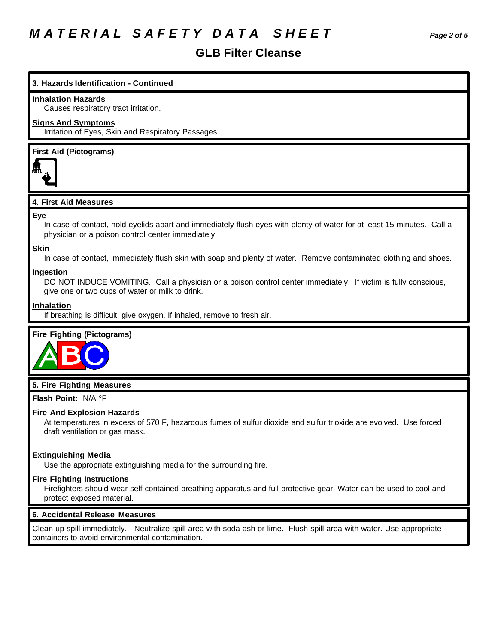# *M A T E R I A L S A F E T Y D A T A S H E E T Page 2 of 5*

### **GLB Filter Cleanse**

#### **3. Hazards Identification - Continued**

#### **Inhalation Hazards**

Causes respiratory tract irritation.

#### **Signs And Symptoms**

Irritation of Eyes, Skin and Respiratory Passages

#### **First Aid (Pictograms)**



#### **4. First Aid Measures**

#### **Eye**

In case of contact, hold eyelids apart and immediately flush eyes with plenty of water for at least 15 minutes. Call a physician or a poison control center immediately.

#### **Skin**

In case of contact, immediately flush skin with soap and plenty of water. Remove contaminated clothing and shoes.

#### **Ingestion**

DO NOT INDUCE VOMITING. Call a physician or a poison control center immediately. If victim is fully conscious, give one or two cups of water or milk to drink.

#### **Inhalation**

If breathing is difficult, give oxygen. If inhaled, remove to fresh air.

#### **Fire Fighting (Pictograms)**



#### **5. Fire Fighting Measures**

**Flash Point:** N/A °F

#### **Fire And Explosion Hazards**

At temperatures in excess of 570 F, hazardous fumes of sulfur dioxide and sulfur trioxide are evolved. Use forced draft ventilation or gas mask.

#### **Extinguishing Media**

Use the appropriate extinguishing media for the surrounding fire.

#### **Fire Fighting Instructions**

Firefighters should wear self-contained breathing apparatus and full protective gear. Water can be used to cool and protect exposed material.

#### **6. Accidental Release Measures**

Clean up spill immediately. Neutralize spill area with soda ash or lime. Flush spill area with water. Use appropriate containers to avoid environmental contamination.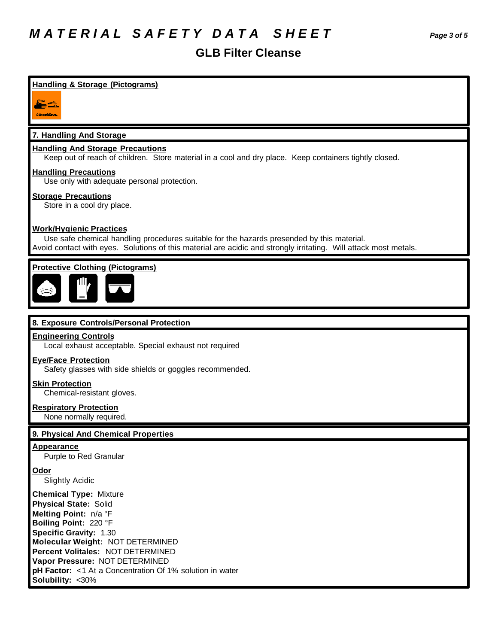### **GLB Filter Cleanse**

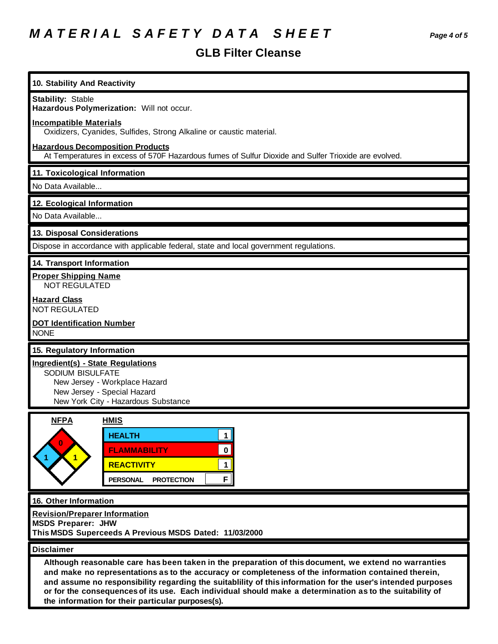# *M A T E R I A L S A F E T Y D A T A S H E E T Page 4 of 5*

## **GLB Filter Cleanse**

| 10. Stability And Reactivity                                                                                                                                                                                                                                                                                                                                                                                                                                                                  |  |  |
|-----------------------------------------------------------------------------------------------------------------------------------------------------------------------------------------------------------------------------------------------------------------------------------------------------------------------------------------------------------------------------------------------------------------------------------------------------------------------------------------------|--|--|
| <b>Stability: Stable</b>                                                                                                                                                                                                                                                                                                                                                                                                                                                                      |  |  |
| Hazardous Polymerization: Will not occur.                                                                                                                                                                                                                                                                                                                                                                                                                                                     |  |  |
| <b>Incompatible Materials</b><br>Oxidizers, Cyanides, Sulfides, Strong Alkaline or caustic material.                                                                                                                                                                                                                                                                                                                                                                                          |  |  |
| <b>Hazardous Decomposition Products</b><br>At Temperatures in excess of 570F Hazardous fumes of Sulfur Dioxide and Sulfer Trioxide are evolved.                                                                                                                                                                                                                                                                                                                                               |  |  |
| 11. Toxicological Information                                                                                                                                                                                                                                                                                                                                                                                                                                                                 |  |  |
| No Data Available                                                                                                                                                                                                                                                                                                                                                                                                                                                                             |  |  |
| 12. Ecological Information                                                                                                                                                                                                                                                                                                                                                                                                                                                                    |  |  |
| No Data Available                                                                                                                                                                                                                                                                                                                                                                                                                                                                             |  |  |
| 13. Disposal Considerations                                                                                                                                                                                                                                                                                                                                                                                                                                                                   |  |  |
| Dispose in accordance with applicable federal, state and local government regulations.                                                                                                                                                                                                                                                                                                                                                                                                        |  |  |
| 14. Transport Information                                                                                                                                                                                                                                                                                                                                                                                                                                                                     |  |  |
| <b>Proper Shipping Name</b><br><b>NOT REGULATED</b>                                                                                                                                                                                                                                                                                                                                                                                                                                           |  |  |
| <b>Hazard Class</b><br><b>NOT REGULATED</b>                                                                                                                                                                                                                                                                                                                                                                                                                                                   |  |  |
| <b>DOT Identification Number</b><br><b>NONE</b>                                                                                                                                                                                                                                                                                                                                                                                                                                               |  |  |
| 15. Regulatory Information                                                                                                                                                                                                                                                                                                                                                                                                                                                                    |  |  |
| Ingredient(s) - State Regulations<br>SODIUM BISULFATE<br>New Jersey - Workplace Hazard<br>New Jersey - Special Hazard<br>New York City - Hazardous Substance                                                                                                                                                                                                                                                                                                                                  |  |  |
| <b>NFPA</b><br><b>HMIS</b>                                                                                                                                                                                                                                                                                                                                                                                                                                                                    |  |  |
| <b>HEALTH</b><br>1 <br>$\mathbf 0$<br><b>FLAMMABILITY</b><br>1<br><b>REACTIVITY</b><br>F <br><b>PERSONAL</b><br><b>PROTECTION</b>                                                                                                                                                                                                                                                                                                                                                             |  |  |
| 16. Other Information                                                                                                                                                                                                                                                                                                                                                                                                                                                                         |  |  |
| <b>Revision/Preparer Information</b><br><b>MSDS Preparer: JHW</b>                                                                                                                                                                                                                                                                                                                                                                                                                             |  |  |
| This MSDS Superceeds A Previous MSDS Dated: 11/03/2000                                                                                                                                                                                                                                                                                                                                                                                                                                        |  |  |
| <b>Disclaimer</b>                                                                                                                                                                                                                                                                                                                                                                                                                                                                             |  |  |
| Although reasonable care has been taken in the preparation of this document, we extend no warranties<br>and make no representations as to the accuracy or completeness of the information contained therein,<br>and assume no responsibility regarding the suitablility of this information for the user's intended purposes<br>or for the consequences of its use. Each individual should make a determination as to the suitability of<br>the information for their particular purposes(s). |  |  |